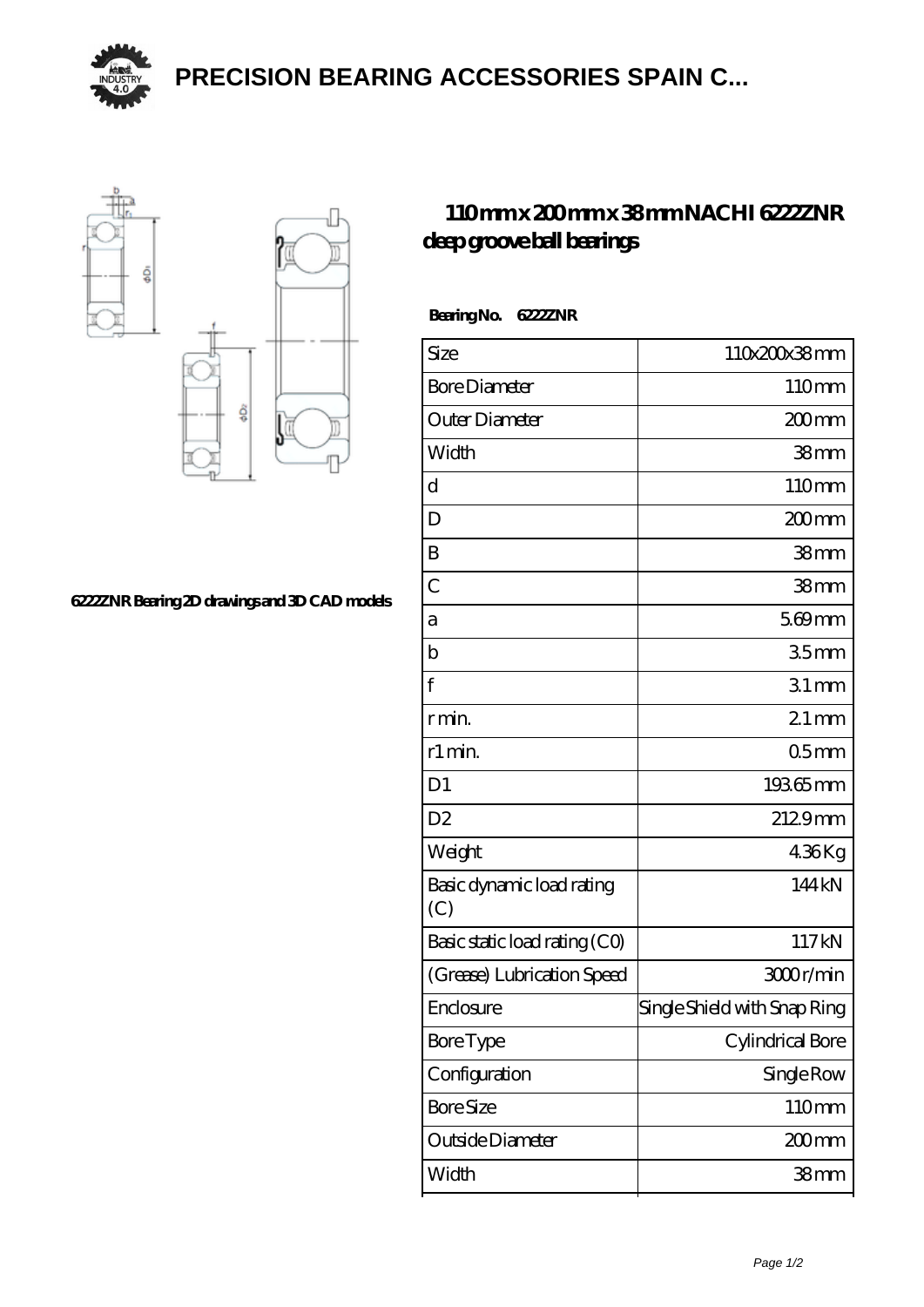

**[PRECISION BEARING ACCESSORIES SPAIN C...](https://m.yjmox.com)**



## **[6222ZNR Bearing 2D drawings and 3D CAD models](https://m.yjmox.com/pic-167931.html)**

## **[110 mm x 200 mm x 38 mm NACHI 6222ZNR](https://m.yjmox.com/af-167931-nachi-6222znr-deep-groove-ball-bearings.html) [deep groove ball bearings](https://m.yjmox.com/af-167931-nachi-6222znr-deep-groove-ball-bearings.html)**

| Bearing No. 622ZZNR |  |
|---------------------|--|
|---------------------|--|

| Size                             | 110x200x38mm                 |
|----------------------------------|------------------------------|
| <b>Bore Diameter</b>             | 110mm                        |
| Outer Diameter                   | 200mm                        |
| Width                            | 38mm                         |
| d                                | 110mm                        |
| D                                | 200mm                        |
| B                                | 38mm                         |
| $\overline{C}$                   | 38mm                         |
| a                                | $569$ mm                     |
| b                                | 35 <sub>mm</sub>             |
| $\mathbf f$                      | $31$ mm                      |
| r min.                           | $21 \,\mathrm{mm}$           |
| r1 min.                          | 05 <sub>mm</sub>             |
| D <sub>1</sub>                   | 19365mm                      |
| D <sub>2</sub>                   | 2129mm                       |
| Weight                           | 436Kg                        |
| Basic dynamic load rating<br>(C) | 144kN                        |
| Basic static load rating (CO)    | 117kN                        |
| (Grease) Lubrication Speed       | 3000r/min                    |
| Enclosure                        | Single Shield with Snap Ring |
| <b>Bore</b> Type                 | Cylindrical Bore             |
| Configuration                    | Single Row                   |
| <b>Bore Size</b>                 | 110mm                        |
| Outside Diameter                 | 200mm                        |
| Width                            | 38mm                         |